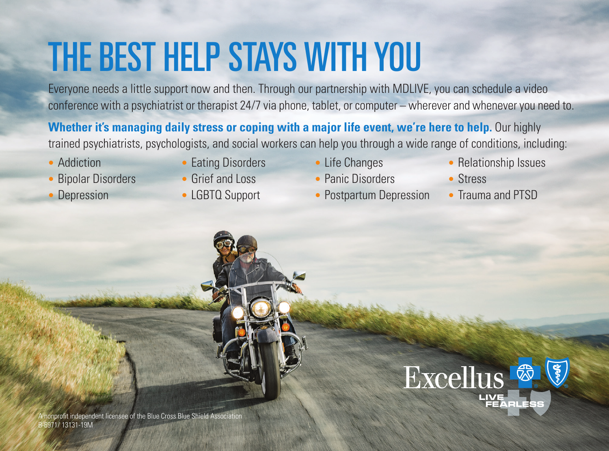## THE BEST HELP STAYS WITH YOU

Everyone needs a little support now and then. Through our partnership with MDLIVE, you can schedule a video conference with a psychiatrist or therapist 24/7 via phone, tablet, or computer – wherever and whenever you need to.

**Whether it's managing daily stress or coping with a major life event, we're here to help.** Our highly trained psychiatrists, psychologists, and social workers can help you through a wide range of conditions, including:

- Addiction
- Bipolar Disorders
- **Depression**
- Eating Disorders
- Grief and Loss
- LGBTQ Support
- Life Changes
- Panic Disorders
- Postpartum Depression
- Relationship Issues
- Stress
- Trauma and PTSD